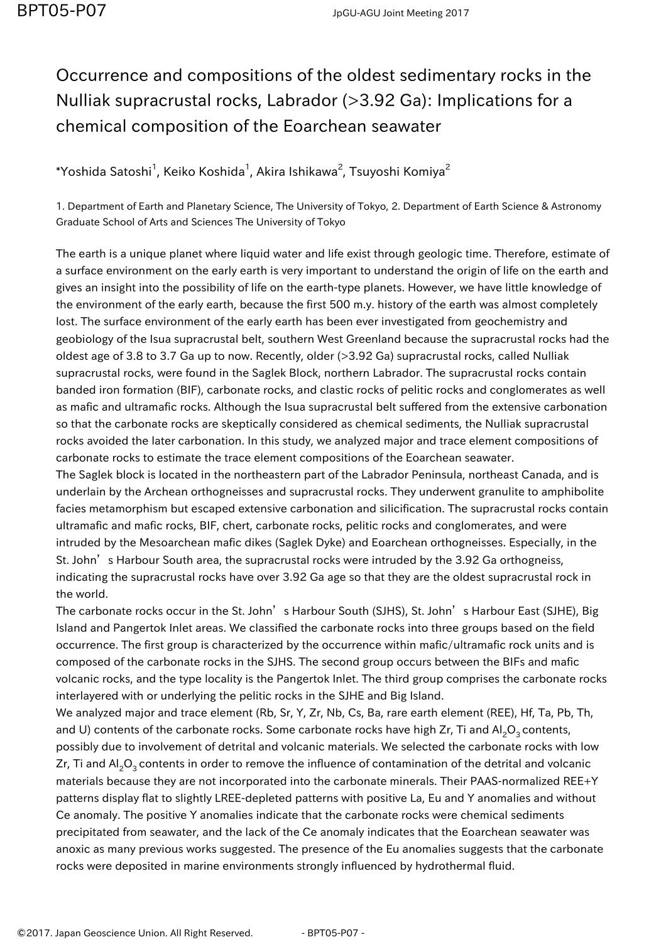## Occurrence and compositions of the oldest sedimentary rocks in the Nulliak supracrustal rocks, Labrador (>3.92 Ga): Implications for a chemical composition of the Eoarchean seawater

 $^*$ Yoshida Satoshi $^1$ , Keiko Koshida $^1$ , Akira Ishikawa $^2$ , Tsuyoshi Komiya $^2$ 

1. Department of Earth and Planetary Science, The University of Tokyo, 2. Department of Earth Science & Astronomy Graduate School of Arts and Sciences The University of Tokyo

The earth is a unique planet where liquid water and life exist through geologic time. Therefore, estimate of a surface environment on the early earth is very important to understand the origin of life on the earth and gives an insight into the possibility of life on the earth-type planets. However, we have little knowledge of the environment of the early earth, because the first 500 m.y. history of the earth was almost completely lost. The surface environment of the early earth has been ever investigated from geochemistry and geobiology of the Isua supracrustal belt, southern West Greenland because the supracrustal rocks had the oldest age of 3.8 to 3.7 Ga up to now. Recently, older (>3.92 Ga) supracrustal rocks, called Nulliak supracrustal rocks, were found in the Saglek Block, northern Labrador. The supracrustal rocks contain banded iron formation (BIF), carbonate rocks, and clastic rocks of pelitic rocks and conglomerates as well as mafic and ultramafic rocks. Although the Isua supracrustal belt suffered from the extensive carbonation so that the carbonate rocks are skeptically considered as chemical sediments, the Nulliak supracrustal rocks avoided the later carbonation. In this study, we analyzed major and trace element compositions of carbonate rocks to estimate the trace element compositions of the Eoarchean seawater.

The Saglek block is located in the northeastern part of the Labrador Peninsula, northeast Canada, and is underlain by the Archean orthogneisses and supracrustal rocks. They underwent granulite to amphibolite facies metamorphism but escaped extensive carbonation and silicification. The supracrustal rocks contain ultramafic and mafic rocks, BIF, chert, carbonate rocks, pelitic rocks and conglomerates, and were intruded by the Mesoarchean mafic dikes (Saglek Dyke) and Eoarchean orthogneisses. Especially, in the St. John's Harbour South area, the supracrustal rocks were intruded by the 3.92 Ga orthogneiss, indicating the supracrustal rocks have over 3.92 Ga age so that they are the oldest supracrustal rock in the world.

The carbonate rocks occur in the St. John's Harbour South (SJHS), St. John's Harbour East (SJHE), Big Island and Pangertok Inlet areas. We classified the carbonate rocks into three groups based on the field occurrence. The first group is characterized by the occurrence within mafic/ultramafic rock units and is composed of the carbonate rocks in the SJHS. The second group occurs between the BIFs and mafic volcanic rocks, and the type locality is the Pangertok Inlet. The third group comprises the carbonate rocks interlayered with or underlying the pelitic rocks in the SJHE and Big Island.

We analyzed major and trace element (Rb, Sr, Y, Zr, Nb, Cs, Ba, rare earth element (REE), Hf, Ta, Pb, Th, and U) contents of the carbonate rocks. Some carbonate rocks have high Zr, Ti and Al<sub>2</sub>O<sub>2</sub> contents, possibly due to involvement of detrital and volcanic materials. We selected the carbonate rocks with low Zr, Ti and  $Al_2O_3$  contents in order to remove the influence of contamination of the detrital and volcanic materials because they are not incorporated into the carbonate minerals. Their PAAS-normalized REE+Y patterns display flat to slightly LREE-depleted patterns with positive La, Eu and Y anomalies and without Ce anomaly. The positive Y anomalies indicate that the carbonate rocks were chemical sediments precipitated from seawater, and the lack of the Ce anomaly indicates that the Eoarchean seawater was anoxic as many previous works suggested. The presence of the Eu anomalies suggests that the carbonate rocks were deposited in marine environments strongly influenced by hydrothermal fluid.